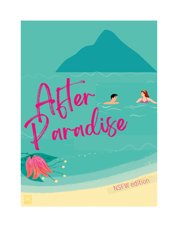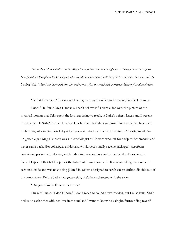*This is the first time that researcher Meg Hannady has been seen in eight years. Though numerous reports have placed her throughout the Himalayas, all attempts to make contact with her failed, earning her the moniker, The Yarlung Yeti. When I sat down with her, she made me a coffee, sweetened with a generous helping of condensed milk.*

"Is that the article?" Lucas asks, leaning over my shoulder and pressing his cheek to mine.

I nod. "He found Meg Hannady. I can't believe it." I trace a line over the picture of the mythical woman that Felix spent the last year trying to reach, at Sadie's behest. Lucas and I weren't the only people Sadie'd made plans for. Her husband had thrown himself into work, but he ended up hurtling into an emotional abyss for two years. And then her letter arrived. An assignment. An un-gettable get. Meg Hannady was a microbiologist at Harvard who left for a trip to Kathmandu and never came back. Her colleagues at Harvard would occasionally receive packages--styrofoam containers, packed with dry ice, and handwritten research notes--that led to the discovery of a bacterial species that held hope for the future of humans on earth. It consumed high amounts of carbon dioxide and was now being piloted in systems designed to scrub excess carbon dioxide out of the atmosphere. Before Sadie had gotten sick, she'd been obsessed with the story.

"Do you think he'll come back now?"

I turn to Lucas. "I don't know." I don't mean to sound downtrodden, but I miss Felix. Sadie tied us to each other with her love in the end and I want to know he's alright. Surrounding myself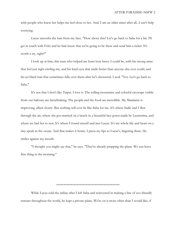with people who knew her helps me feel close to her. And, I am an older sister after all...I can't help worrying.

Lucas smooths the hair from my face. "How about this? Let's go back to Saba for a bit. I'll get in touch with Felix and let him know that we're going to be there and send him a ticket. It's worth a try, right?"

I look up at him, this man who helped me learn how brave I could be, with his strong arms that feel just right circling me, and his kind eyes that smile better than anyone else ever could, and his jet black hair that sometimes falls over them after he's showered. I nod. "Yes. Let's go back to Saba."

It's not that I don't like Taipei. I love it. The rolling mountains and colorful cityscape visible from our balcony are breathtaking. The people and the food are incredible. My Mandarin is improving, albeit slowly. But nothing will ever be like Saba for me. It's where Sadie and I flew through the air, where she got married on a beach in a beautiful lace gown made by Laurentina, and where we laid her to rest. It's where I found myself and met Lucas. It's my whole life and heart on a tiny speak in the ocean. And that makes it home. I press my lips to Lucas's, lingering there. He smiles against my mouth.

"I thought you might say that," he says. "They're already prepping the plane. We can leave first thing in the morning."

\*\*\*\*\*\*\*\*\*\*\*\*\*\*\*\*\*\*\*\*\*\*\*\*\*\*\*\*\*\*\*\*\*\*\*\*\*\*\*\*\*\*\*

While Lucas sold the airline after I left Saba and reinvested in making a line of eco-friendly retreats throughout the world, he kept a private plane. We're on it more often than I would like, if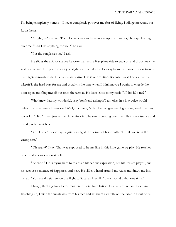I'm being completely honest -- I never completely got over my fear of flying. I still get nervous, but Lucas helps.

"Alright, we're all set. The pilot says we can leave in a couple of minutes," he says, leaning over me. "Can I do anything for you?" he asks.

"Put the sunglasses on," I ask.

He slides the aviator shades he wore that entire first plane ride to Saba on and drops into the seat next to me. The plane jostles just slightly as the pilot backs away from the hanger. Lucas twines his fingers through mine. His hands are warm. This is our routine. Because Lucas knows that the takeoff is the hard part for me and usually is the time when I think maybe I ought to wrestle the door open and fling myself out onto the tarmac. He leans close to my neck. "Nǐ hái hǎo ma?"

Who knew that my wonderful, sexy boyfriend asking if I am okay in a low voice would defeat my usual takeoff freak out? Well, of course, *he* did. He just gets me. I graze my teeth over my lower lip. "Hǎo," I say, just as the plane lifts off. The sun is cresting over the hills in the distance and the sky is brilliant blue.

"You know," Lucas says, a grin teasing at the corner of his mouth. "I think you're in the wrong seat."

"Oh really?" I say. That was supposed to be my line in this little game we play. He reaches down and releases my seat belt.

"Zhēnde." He is trying hard to maintain his serious expression, but his lips are playful, and his eyes are a mixture of happiness and heat. He slides a hand around my waist and draws me into his lap. "You usually sit here on the flight to Saba, as I recall. At least you did that one time."

I laugh, thinking back to my moment of total humiliation. I swivel around and face him. Reaching up, I slide the sunglasses from his face and set them carefully on the table in front of us.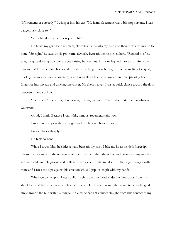"If I remember correctly," I whisper into his ear. "My hand placement was a bit inopportune. I was dangerously close to--"

"Your hand placement was just right."

He holds my gaze for a moment, slides his hands into my hair, and then melds his mouth to mine. "So right," he says, as his grin turns devilish. Beneath me he is rock hard. "Remind me," he says, his gaze drifting down to the peak rising between us. I lift one leg and move it carefully over him so that I'm straddling his lap. My hands are aching to touch him, my core is melting to liquid, pooling like molten lava between my legs. Lucas slides his hands low around me, pressing his fingertips into my ass and drawing me closer. My chest heaves. I cast a quick glance toward the door between us and cockpit.

"Pierre won't come out," Lucas says, reading my mind. "We're alone. We can do whatever you want."

Good, I think. Because I want this, him, us, together...right now.

I moisten my lips with my tongue and reach down between us.

Lucas inhales sharply.

He feels so good.

While I touch him, he slides a hand beneath my shirt. I bite my lip as his deft fingertips release my bra and cup the underside of one breast and then the other, and graze over my nipples, sensitive and taut. He groans and pulls me even closer to kiss me deeply. His tongue tangles with mine and I rock my hips against his erection while I grip its length with my hands.

When we come apart, Lucas pulls my shirt over my head, slides my bra straps from my shoulders, and takes me breasts in his hands again. He lowers his mouth to one, tracing a languid circle around the bud with his tongue. An electric current courses straight from this contact to my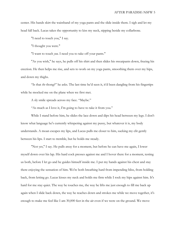center. His hands skirt the waistband of my yoga pants and the slide inside them. I sigh and let my head fall back. Lucas takes the opportunity to kiss my neck, nipping beside my collarbone.

"I need to touch you," I say.

"I thought you were."

"I want to touch *you.* I need you to take off your pants."

"As you wish," he says, he pulls off his shirt and then slides his sweatpants down, freeing his erection. He then helps me rise, and sets to work on my yoga pants, smoothing them over my hips, and down my thighs.

"Is that *the* thong?" he asks. The last time he'd seen it, it'd been dangling from his fingertips while he mocked me on the plane when we first met.

A sly smile spreads across my face. "Maybe."

"As much as I love it, I'm going to have to take it from you."

While I stand before him, he slides the lace down and dips his head between my legs. I don't know what language he's currently whispering against my pussy, but whatever it is, my body understands. A moan escapes my lips, and Lucas pulls me closer to him, sucking my clit gently between his lips. I start to tremble, but he holds me steady.

"Not yet," I say. He pulls away for a moment, but before he can have me again, I lower myself down over his lap. His hard cock presses against me and I hover there for a moment, testing us both, before I let go and he guides himself inside me. I put my hands against his chest and stay there enjoying the sensation of him. We're both breathing hard from impending bliss, from holding back, from letting go. Lucas kisses my neck and holds me firm while I rock my hips against him. It's hard for me stay quiet. The way he touches me, the way he lifts me just enough to fill me back up again when I slide back down, the way he reaches down and strokes me while we move together, it's enough to make me feel like I am 30,000 feet in the air even if we were on the ground. We move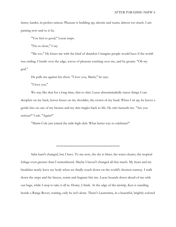faster, harder, in perfect unison. Pleasure is building up, electric and warm, almost too much. I am panting now and so is he.

"You feel so good," Lucas rasps.

"I'm so close," I say.

"Me too." He kisses me with the kind of abandon I imagine people would have if the world was ending. I hurtle over the edge, waves of pleasure crashing over me, and he groans. "Oh my god."

He pulls me against his chest. "I love you, Marin," he says.

"I love you."

We stay like that for a long time, skin to skin. Lucas absentmindedly traces things I can decipher on my back, leaves kisses on my shoulder, the crown of my head. When I sit up, he leaves a gentle kiss on one of my breasts and my skin tingles back to life. He stirs beneath me. "Are you serious?" I ask. "Again?"

"Marin Cole just joined the mile-high club. What better way to celebrate?"

\*\*\*\*\*\*\*\*\*\*\*\*\*\*\*\*\*\*\*\*\*\*\*\*\*\*\*\*\*\*\*\*\*\*\*\*\*\*\*\*\*\*\*

Saba hasn't changed, but I have. To me now, the sky is bluer, the water clearer, the tropical foliage even greener than I remembered. Maybe I haven't changed all that much. My heart and my breakfast nearly leave my body when we finally touch down on the world's shortest runway. I walk down the steps and the breeze, warm and fragrant hits me. Lucas bounds down ahead of me with our bags, while I stop to take it all in. Home, I think. At the edge of the airstrip, Ken is standing beside a Range Rover, waiting, only he isn't alone. There's Laurentina, in a beautiful, brightly colored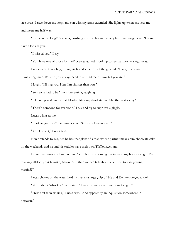lace dress. I race down the steps and run with my arms extended. She lights up when she sees me and meets me half-way.

"It's been too long!" She says, crushing me into her in the very best way imaginable. "Let me have a look at you."

"I missed you," I say.

"You have one of those for me?" Ken says, and I look up to see that he's teasing Lucas.

Lucas gives Ken a hug, lifting his friend's feet off of the ground. "Okay, that's just

humiliating, man. Why do you always need to remind me of how tall you are."

I laugh. "I'll hug you, Ken. I'm shorter than you."

"Someone had to be," says Laurentina, laughing.

"I'll have you all know that Elisabet likes my short stature. She thinks it's sexy."

"There's someone for everyone," I say and try to suppress a giggle.

Lucas winks at me.

"Look at you two," Laurentina says. "Still as in love as ever."

"You know it," Lucas says.

Ken pretends to gag, but he has that glow of a man whose partner makes him chocolate cake on the weekends and he and his toddler have their own TikTok account.

Laurentina takes my hand in hers. "You both are coming to dinner at my house tonight. I'm making callaloo, your favorite, Marin. And then we can talk about when you too are getting married?"

Lucas chokes on the water he'd just taken a large gulp of. He and Ken exchanged a look.

"What about Sabaoke?" Ken asked. "I was planning a reunion tour tonight."

"Stew first then singing," Lucas says. "And apparently an inquisition somewhere in between."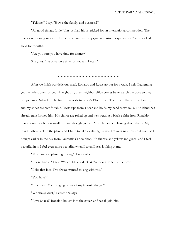"Tell me," I say, "How's the family, and business?"

"All good things. Little John just had his art picked for an international competition. The new store is doing so well. The tourists have been enjoying our artisan experiences. We're booked solid for months."

"Are you sure you have time for dinner?"

She grins. "I always have time for you and Lucas."

## \*\*\*\*\*\*\*\*\*\*\*\*\*\*\*\*\*\*\*\*\*\*\*\*\*\*\*\*\*\*\*\*\*\*\*\*\*\*\*\*\*\*\*

After we finish our delicious meal, Ronaldo and Lucas go out for a walk. I help Laurentina get the littlest ones for bed. At eight pm, their neighbor Hilde comes by to watch the boys so they can join us at Sabaoke. The four of us walk to Scout's Place down The Road. The air is still warm, and my shoes are comfortable. Lucas sips from a beer and holds my hand as we walk. The island has already transformed him. His chinos are rolled up and he's wearing a black t-shirt from Ronaldo that's honestly a bit too small for him, though you won't catch me complaining about the fit. My mind flashes back to the plane and I have to take a calming breath. I'm wearing a festive dress that I bought earlier in the day from Laurentina's new shop. It's fuchsia and yellow and green, and I feel beautiful in it. I feel even more beautiful when I catch Lucas looking at me.

"What are you planning to sing?" Lucas asks.

"I don't know," I say. "We could do a duet. We've never done that before."

"I like that idea. I've always wanted to sing with you."

"You have?"

"Of course. Your singing is one of my favorite things."

"We always duet," Laurentina says.

"Love Shack!" Ronaldo hollers into the cover, and we all join him.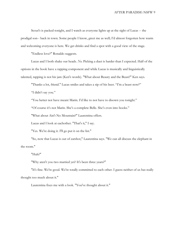Scout's is packed tonight, and I watch as everyone lights up at the sight of Lucas -- the prodigal son-- back in town. Some people I know, greet me as well; I'd almost forgotten how warm and welcoming everyone is here. We get drinks and find a spot with a good view of the stage.

"Endless love?" Ronaldo suggests.

Lucas and I both shake our heads. *No.* Picking a duet is harder than I expected. Half of the options in the book have a rapping component and while Lucas is musically and linguistically talented, rapping is not his jam (Ken's words). "What about Beauty and the Beast?" Ken says.

"Thanks a lot, friend." Lucas smiles and takes a sip of his beer. "I'm a beast now?"

"I didn't say you."

"You better not have meant Marin. I'd like to not have to disown you tonight."

"Of course it's not Marin. She's a complete Belle. She's even into books."

"What about Ain't No Mountain?" Laurentina offers.

Lucas and I look at eachother. "That's it," I say.

"Yes. We're doing it. I'll go put it on the list."

"So, now that Lucas is out of earshot," Laurentina says. "We can all discuss the elephant in the room."

"Huh?"

"Why aren't you two married yet? It's been three years?"

"It's fine. We're good. We're totally committed to each other. I guess neither of us has really thought too much about it."

Laurentina fixes me with a look. "You've thought about it."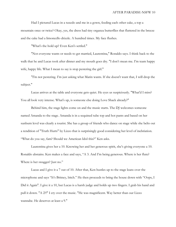Had I pictured Lucas in a tuxedo and me in a gown, feeding each other cake, a top a mountain once or twice? Okay, yes, the dress had tiny organza butterflies that fluttered in the breeze and the cake had a limoncello drizzle. A hundred times. My face flushes.

"What's the hold up? Even Ken's settled."

"Not everyone wants or needs to get married, Laurentina," Ronaldo says. I think back to the walk that he and Lucas took after dinner and my mouth goes dry. "I don't mean me. I'm team happy wife, happy life. What I mean to say is stop pestering the girl."

"I'm not pestering. I'm just asking what Marin wants. If she doesn't want that, I will drop the subject."

Lucas arrives at the table and everyone gets quiet. He eyes us suspiciously. "What'd I miss? You all look very intense. What's up, is someone else doing Love Shack already?"

Behind him, the stage lights come on and the music starts. The DJ welcomes someone named Amanda to the stage. Amanda is in a sequined tube top and hot pants and based on her sunburn level was clearly a tourist. She has a group of friends who dance on stage while she belts out a rendition of "Truth Hurts" by Lizzo that is surprisingly good considering her level of inebriation. "What do you say, fam? Should we American Idol this?" Ken asks.

Laurentina gives her a 10. Knowing her and her generous spirit, she's giving everyone a 10. Ronaldo abstains. Ken makes a face and says, "A 3. And I'm being generous. Where is her flute? Where is her swagger? Just no."

Lucas and I give it a 7 out of 10. After that, Ken hustles up to the stage leans over the microphone and says "It's Britney, bitch." He then proceeds to bring the house down with "Oops, I Did it Again". I give it a 10, but Lucas is a harsh judge and holds up two fingers. I grab his hand and pull it down. "A 2?!" I cry over the music. "He was magnificent. Way better than our Lizzo wannabe. He deserves at least a 9."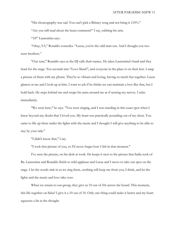"His choreography was sad. You can't pick a Britney song and not bring it 110%."

"Are you still mad about the beast comment?" I say, rubbing his arm.

"10!" Laurentina says.

"Okay, 9.5," Ronaldo concedes. "Lucas, you're the odd man out. And I thought you two were brothers."

"Our turn," Ronaldo says as the DJ calls their names. He takes Laurentina's hand and they head for the stage. Ten seconds into "Love Shack", and everyone in the place is on their feet. I snap a picture of them with my phone. They're so vibrant and loving, having so much fun together. Lucas glances at me and I look up at him. I want to ask if he thinks we can maintain a love like that, but I hold back. He steps behind me and wraps his arms around me as if sensing my nerves. I relax immediately.

"We were here," he says. "You were singing, and I was standing in this exact spot when I knew beyond any doubt that I loved you. My heart was practically pounding out of my chest. You came to life up there under the lights with the music and I thought I will give anything to be able to stay by your side."

"I didn't know that," I say.

"I took that picture of you, so I'd never forget how I felt in that moment."

I've seen the picture, on his desk at work. He keeps it next to the picture that Sadie took of Ba. Laurentina and Ronaldo finish to wild applause and Lucas and I move to take our spot on the stage. I let the words sink in as we sing them...nothing will keep me from you, I think, and let the lights and the music and love take over.

When we return to our group, they give us 10 out of 10s across the board. This moment, this life together on Saba? I give it a 10 out of 10. Only one thing could make it better and my heart squeezes a bit at the thought.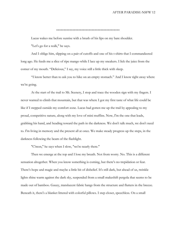## \*\*\*\*\*\*\*\*\*\*\*\*\*\*\*\*\*\*\*\*\*\*\*\*\*\*\*\*\*\*\*\*\*\*\*\*\*\*\*\*\*\*\*

Lucas wakes me before sunrise with a brush of his lips on my bare shoulder.

"Let's go for a walk," he says.

And I oblige him, slipping on a pair of cutoffs and one of his t-shirts that I commandeered long ago. He feeds me a slice of ripe mango while I lace up my sneakers. I lick the juice from the corner of my mouth. "Delicious," I say, my voice still a little thick with sleep.

"I know better than to ask you to hike on an empty stomach." And I know right away where we're going.

At the start of the trail to Mt. Scenery, I stop and trace the wooden sign with my fingers. I never wanted to climb that mountain, but that was where I got my first taste of what life could be like if I stepped outside my comfort zone. Lucas had gotten me up the trail by appealing to my proud, competitive nature, along with my love of mini muffins. Now, I'm the one that leads, grabbing his hand, and heading toward the path in the darkness. We don't talk much, we don't need to. I'm living in memory and the present all at once. We make steady progress up the steps, in the darkness following the beam of the flashlight.

"C'mon," he says when I slow, "we're nearly there."

Then we emerge at the top and I lose my breath. Not from worry. No. This is a different sensation altogether. When you know something is coming, but there's no trepidation or fear. There's hope and magic and maybe a little bit of disbelief. It's still dark, but ahead of us, twinkle lights shine warm against the dark sky, suspended from a small makeshift pergola that seems to be made out of bamboo. Gauzy, translucent fabric hangs from the structure and flutters in the breeze. Beneath it, there's a blanket littered with colorful pillows. I step closer, speechless. On a small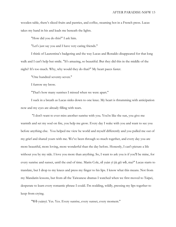wooden table, there's sliced fruits and pastries, and coffee, steaming hot in a French press. Lucas takes my hand in his and leads me beneath the lights.

"How did you do this?" I ask him.

"Let's just say you and I have very caring friends."

I think of Laurentina's badgering and the way Lucas and Ronaldo disappeared for that long walk and I can't help but smile. "It's amazing, so beautiful. But they did this in the middle of the night? It's too much. Why, why would they do that?" My heart paces faster.

"One hundred seventy-seven."

I furrow my brow.

"That's how many sunrises I missed when we were apart."

I suck in a breath as Lucas sinks down to one knee. My heart is thrumming with anticipation now and my eyes are already filling with tears.

"I don't want to ever miss another sunrise with you. You're like the sun, you give me warmth and set my soul on fire, you help me grow. Every day I wake with you and want to see you before anything else. You helped me view he world and myself differently and you pulled me out of my grief and shared yours with me. We've been through so much together, and every day you are more beautiful, more loving, more wonderful than the day before. Honestly, I can't picture a life without you by my side. I love you more than anything. So, I want to ask you is if you'll be mine, for every sunrise and sunset, until the end of time. Marin Cole, nǐ yuàn yì jià gěi wǒ, ma?" Lucas starts to translate, but I drop to my knees and press my finger to his lips. I know what this means. Not from my Mandarin lessons, but from all the Taiwanese dramas I watched when we first moved to Taipei, desperate to learn every romantic phrase I could. I'm nodding, wildly, pressing my lips together to keep from crying.

"Wǒ yuànyì. Yes. Yes. Every sunrise, every sunset, every moment."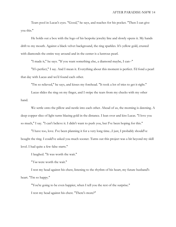Tears pool in Lucas's eyes. "Good," he says, and reaches for his pocket. "Then I can give you this."

He holds out a box with the logo of his bespoke jewelry line and slowly opens it. My hands drift to my mouth. Against a black velvet background, the ring sparkles. It's yellow gold, crusted with diamonds the entire way around and in the center is a lustrous pearl.

"I made it," he says. "If you want something else, a diamond maybe, I can--"

"It's perfect," I say. And I mean it. Everything about this moment is perfect. I'd fond a pearl that day with Lucas and we'd found each other.

"I'm so relieved," he says, and kisses my forehead. "It took a lot of tries to get it right."

Lucas slides the ring on my finger, and I swipe the tears from my cheeks with my other hand.

We settle onto the pillow and nestle into each other. Ahead of us, the morning is dawning. A deep copper slice of light turns blazing gold in the distance. I lean over and kiss Lucas. "I love you so much," I say. "I can't believe it. I didn't want to push you, but I've been hoping for this."

"I have too, love. I've been planning it for a very long time...I just, I probably should've bought the ring. I could've asked you much sooner. Turns out this project was a bit beyond my skill level. I had quite a few false starts."

I laughed. "It was worth the wait."

"*You* were worth the wait."

I rest my head against his chest, listening to the rhythm of his heart, my future husband's heart. "I'm so happy."

"You're going to be even happier, when I tell you the rest of the surprise." I rest my head against his chest. "There's more?"